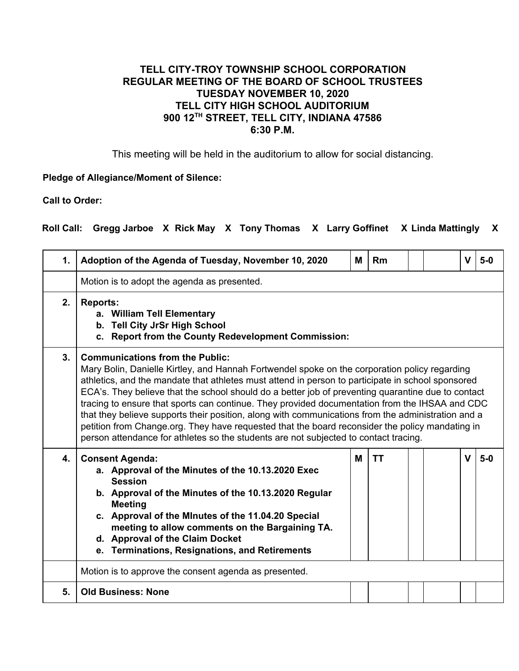## **TELL CITY-TROY TOWNSHIP SCHOOL CORPORATION REGULAR MEETING OF THE BOARD OF SCHOOL TRUSTEES TUESDAY NOVEMBER 10, 2020 TELL CITY HIGH SCHOOL AUDITORIUM 900 12TH STREET, TELL CITY, INDIANA 47586 6:30 P.M.**

This meeting will be held in the auditorium to allow for social distancing.

## **Pledge of Allegiance/Moment of Silence:**

**Call to Order:**

**Roll Call: Gregg Jarboe X Rick May X Tony Thomas X Larry Goffinet X Linda Mattingly X**

| 1. | Adoption of the Agenda of Tuesday, November 10, 2020                                                                                                                                                                                                                                                                                                                                                                                                                                                                                                                                                                                                                                                                                                  | м | Rm        |  | $\mathbf{V}$ | $5-0$ |
|----|-------------------------------------------------------------------------------------------------------------------------------------------------------------------------------------------------------------------------------------------------------------------------------------------------------------------------------------------------------------------------------------------------------------------------------------------------------------------------------------------------------------------------------------------------------------------------------------------------------------------------------------------------------------------------------------------------------------------------------------------------------|---|-----------|--|--------------|-------|
|    | Motion is to adopt the agenda as presented.                                                                                                                                                                                                                                                                                                                                                                                                                                                                                                                                                                                                                                                                                                           |   |           |  |              |       |
| 2. | <b>Reports:</b><br>a. William Tell Elementary<br>b. Tell City JrSr High School<br>c. Report from the County Redevelopment Commission:                                                                                                                                                                                                                                                                                                                                                                                                                                                                                                                                                                                                                 |   |           |  |              |       |
| 3. | <b>Communications from the Public:</b><br>Mary Bolin, Danielle Kirtley, and Hannah Fortwendel spoke on the corporation policy regarding<br>athletics, and the mandate that athletes must attend in person to participate in school sponsored<br>ECA's. They believe that the school should do a better job of preventing quarantine due to contact<br>tracing to ensure that sports can continue. They provided documentation from the IHSAA and CDC<br>that they believe supports their position, along with communications from the administration and a<br>petition from Change.org. They have requested that the board reconsider the policy mandating in<br>person attendance for athletes so the students are not subjected to contact tracing. |   |           |  |              |       |
| 4. | <b>Consent Agenda:</b><br>a. Approval of the Minutes of the 10.13.2020 Exec<br><b>Session</b><br>b. Approval of the Minutes of the 10.13.2020 Regular<br><b>Meeting</b><br>c. Approval of the Minutes of the 11.04.20 Special<br>meeting to allow comments on the Bargaining TA.<br>d. Approval of the Claim Docket<br>e. Terminations, Resignations, and Retirements                                                                                                                                                                                                                                                                                                                                                                                 | M | <b>TT</b> |  | $\mathbf{V}$ | $5-0$ |
|    | Motion is to approve the consent agenda as presented.                                                                                                                                                                                                                                                                                                                                                                                                                                                                                                                                                                                                                                                                                                 |   |           |  |              |       |
| 5. | <b>Old Business: None</b>                                                                                                                                                                                                                                                                                                                                                                                                                                                                                                                                                                                                                                                                                                                             |   |           |  |              |       |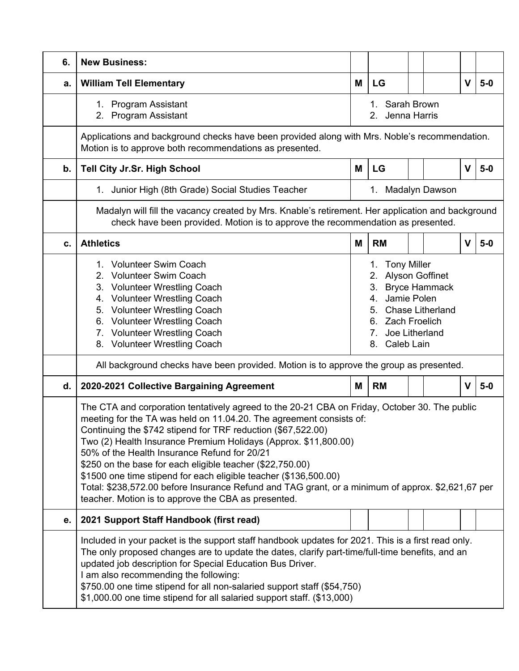| 6. | <b>New Business:</b>                                                                                                                                                                                                                                                                                                                                                                                                                                                                                                                                                                                                                                 |                                   |                                                                                                                                                                   |  |  |             |       |  |
|----|------------------------------------------------------------------------------------------------------------------------------------------------------------------------------------------------------------------------------------------------------------------------------------------------------------------------------------------------------------------------------------------------------------------------------------------------------------------------------------------------------------------------------------------------------------------------------------------------------------------------------------------------------|-----------------------------------|-------------------------------------------------------------------------------------------------------------------------------------------------------------------|--|--|-------------|-------|--|
| a. | <b>William Tell Elementary</b>                                                                                                                                                                                                                                                                                                                                                                                                                                                                                                                                                                                                                       | М                                 | LG                                                                                                                                                                |  |  | v           | $5-0$ |  |
|    | 1. Program Assistant<br>2. Program Assistant                                                                                                                                                                                                                                                                                                                                                                                                                                                                                                                                                                                                         | 1. Sarah Brown<br>2. Jenna Harris |                                                                                                                                                                   |  |  |             |       |  |
|    | Applications and background checks have been provided along with Mrs. Noble's recommendation.<br>Motion is to approve both recommendations as presented.                                                                                                                                                                                                                                                                                                                                                                                                                                                                                             |                                   |                                                                                                                                                                   |  |  |             |       |  |
| b. | Tell City Jr.Sr. High School                                                                                                                                                                                                                                                                                                                                                                                                                                                                                                                                                                                                                         | M                                 | LG                                                                                                                                                                |  |  | v           | $5-0$ |  |
|    | 1. Junior High (8th Grade) Social Studies Teacher                                                                                                                                                                                                                                                                                                                                                                                                                                                                                                                                                                                                    |                                   | 1. Madalyn Dawson                                                                                                                                                 |  |  |             |       |  |
|    | Madalyn will fill the vacancy created by Mrs. Knable's retirement. Her application and background<br>check have been provided. Motion is to approve the recommendation as presented.                                                                                                                                                                                                                                                                                                                                                                                                                                                                 |                                   |                                                                                                                                                                   |  |  |             |       |  |
| C. | <b>Athletics</b>                                                                                                                                                                                                                                                                                                                                                                                                                                                                                                                                                                                                                                     | M                                 | <b>RM</b>                                                                                                                                                         |  |  | $\mathbf v$ | $5-0$ |  |
|    | 1. Volunteer Swim Coach<br>2. Volunteer Swim Coach<br>3. Volunteer Wrestling Coach<br>4. Volunteer Wrestling Coach<br>5. Volunteer Wrestling Coach<br>6. Volunteer Wrestling Coach<br>7. Volunteer Wrestling Coach<br>8. Volunteer Wrestling Coach                                                                                                                                                                                                                                                                                                                                                                                                   |                                   | 1. Tony Miller<br>2. Alyson Goffinet<br>3. Bryce Hammack<br>Jamie Polen<br>4.<br>5. Chase Litherland<br>6. Zach Froelich<br>Joe Litherland<br>7.<br>8. Caleb Lain |  |  |             |       |  |
|    | All background checks have been provided. Motion is to approve the group as presented.                                                                                                                                                                                                                                                                                                                                                                                                                                                                                                                                                               |                                   |                                                                                                                                                                   |  |  |             |       |  |
| d. | 2020-2021 Collective Bargaining Agreement                                                                                                                                                                                                                                                                                                                                                                                                                                                                                                                                                                                                            | M                                 | <b>RM</b>                                                                                                                                                         |  |  | V           | $5-0$ |  |
|    | The CTA and corporation tentatively agreed to the 20-21 CBA on Friday, October 30. The public<br>meeting for the TA was held on 11.04.20. The agreement consists of:<br>Continuing the \$742 stipend for TRF reduction (\$67,522.00)<br>Two (2) Health Insurance Premium Holidays (Approx. \$11,800.00)<br>50% of the Health Insurance Refund for 20/21<br>\$250 on the base for each eligible teacher (\$22,750.00)<br>\$1500 one time stipend for each eligible teacher (\$136,500.00)<br>Total: \$238,572.00 before Insurance Refund and TAG grant, or a minimum of approx. \$2,621,67 per<br>teacher. Motion is to approve the CBA as presented. |                                   |                                                                                                                                                                   |  |  |             |       |  |
| е. | 2021 Support Staff Handbook (first read)                                                                                                                                                                                                                                                                                                                                                                                                                                                                                                                                                                                                             |                                   |                                                                                                                                                                   |  |  |             |       |  |
|    | Included in your packet is the support staff handbook updates for 2021. This is a first read only.<br>The only proposed changes are to update the dates, clarify part-time/full-time benefits, and an<br>updated job description for Special Education Bus Driver.<br>I am also recommending the following:<br>\$750.00 one time stipend for all non-salaried support staff (\$54,750)<br>\$1,000.00 one time stipend for all salaried support staff. (\$13,000)                                                                                                                                                                                     |                                   |                                                                                                                                                                   |  |  |             |       |  |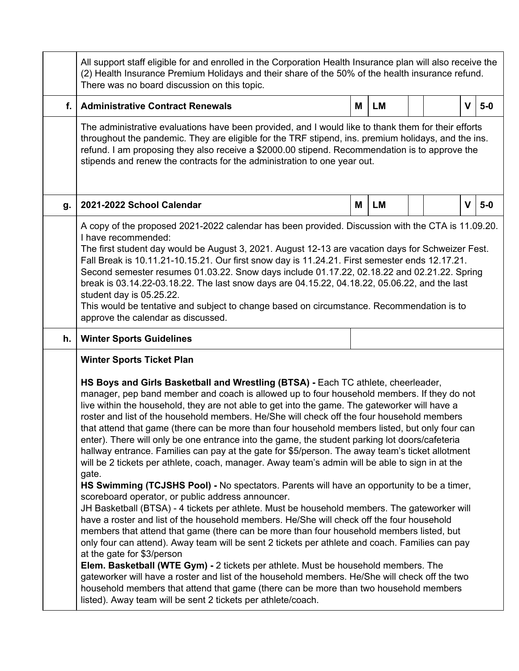|             | All support staff eligible for and enrolled in the Corporation Health Insurance plan will also receive the<br>(2) Health Insurance Premium Holidays and their share of the 50% of the health insurance refund.<br>There was no board discussion on this topic.                                                                                                                                                                                                                                                                                                                                                                                                                                                                                                                                                                                                                                                                                                                                                                                                                                                                                                                                                                                                                                                                                                                                                                                                                                                                                                                                                                                                                                                                                                      |   |           |  |  |   |       |
|-------------|---------------------------------------------------------------------------------------------------------------------------------------------------------------------------------------------------------------------------------------------------------------------------------------------------------------------------------------------------------------------------------------------------------------------------------------------------------------------------------------------------------------------------------------------------------------------------------------------------------------------------------------------------------------------------------------------------------------------------------------------------------------------------------------------------------------------------------------------------------------------------------------------------------------------------------------------------------------------------------------------------------------------------------------------------------------------------------------------------------------------------------------------------------------------------------------------------------------------------------------------------------------------------------------------------------------------------------------------------------------------------------------------------------------------------------------------------------------------------------------------------------------------------------------------------------------------------------------------------------------------------------------------------------------------------------------------------------------------------------------------------------------------|---|-----------|--|--|---|-------|
| $f_{\cdot}$ | <b>Administrative Contract Renewals</b>                                                                                                                                                                                                                                                                                                                                                                                                                                                                                                                                                                                                                                                                                                                                                                                                                                                                                                                                                                                                                                                                                                                                                                                                                                                                                                                                                                                                                                                                                                                                                                                                                                                                                                                             | M | <b>LM</b> |  |  | V | $5-0$ |
|             | The administrative evaluations have been provided, and I would like to thank them for their efforts<br>throughout the pandemic. They are eligible for the TRF stipend, ins. premium holidays, and the ins.<br>refund. I am proposing they also receive a \$2000.00 stipend. Recommendation is to approve the<br>stipends and renew the contracts for the administration to one year out.                                                                                                                                                                                                                                                                                                                                                                                                                                                                                                                                                                                                                                                                                                                                                                                                                                                                                                                                                                                                                                                                                                                                                                                                                                                                                                                                                                            |   |           |  |  |   |       |
| g.          | 2021-2022 School Calendar                                                                                                                                                                                                                                                                                                                                                                                                                                                                                                                                                                                                                                                                                                                                                                                                                                                                                                                                                                                                                                                                                                                                                                                                                                                                                                                                                                                                                                                                                                                                                                                                                                                                                                                                           | М | <b>LM</b> |  |  | V | $5-0$ |
|             | A copy of the proposed 2021-2022 calendar has been provided. Discussion with the CTA is 11.09.20.<br>I have recommended:<br>The first student day would be August 3, 2021. August 12-13 are vacation days for Schweizer Fest.<br>Fall Break is 10.11.21-10.15.21. Our first snow day is 11.24.21. First semester ends 12.17.21.<br>Second semester resumes 01.03.22. Snow days include 01.17.22, 02.18.22 and 02.21.22. Spring<br>break is 03.14.22-03.18.22. The last snow days are 04.15.22, 04.18.22, 05.06.22, and the last<br>student day is 05.25.22.<br>This would be tentative and subject to change based on circumstance. Recommendation is to<br>approve the calendar as discussed.                                                                                                                                                                                                                                                                                                                                                                                                                                                                                                                                                                                                                                                                                                                                                                                                                                                                                                                                                                                                                                                                      |   |           |  |  |   |       |
| h.          | <b>Winter Sports Guidelines</b>                                                                                                                                                                                                                                                                                                                                                                                                                                                                                                                                                                                                                                                                                                                                                                                                                                                                                                                                                                                                                                                                                                                                                                                                                                                                                                                                                                                                                                                                                                                                                                                                                                                                                                                                     |   |           |  |  |   |       |
|             | <b>Winter Sports Ticket Plan</b><br>HS Boys and Girls Basketball and Wrestling (BTSA) - Each TC athlete, cheerleader,<br>manager, pep band member and coach is allowed up to four household members. If they do not<br>live within the household, they are not able to get into the game. The gateworker will have a<br>roster and list of the household members. He/She will check off the four household members<br>that attend that game (there can be more than four household members listed, but only four can<br>enter). There will only be one entrance into the game, the student parking lot doors/cafeteria<br>hallway entrance. Families can pay at the gate for \$5/person. The away team's ticket allotment<br>will be 2 tickets per athlete, coach, manager. Away team's admin will be able to sign in at the<br>gate.<br>HS Swimming (TCJSHS Pool) - No spectators. Parents will have an opportunity to be a timer,<br>scoreboard operator, or public address announcer.<br>JH Basketball (BTSA) - 4 tickets per athlete. Must be household members. The gateworker will<br>have a roster and list of the household members. He/She will check off the four household<br>members that attend that game (there can be more than four household members listed, but<br>only four can attend). Away team will be sent 2 tickets per athlete and coach. Families can pay<br>at the gate for \$3/person<br>Elem. Basketball (WTE Gym) - 2 tickets per athlete. Must be household members. The<br>gateworker will have a roster and list of the household members. He/She will check off the two<br>household members that attend that game (there can be more than two household members<br>listed). Away team will be sent 2 tickets per athlete/coach. |   |           |  |  |   |       |